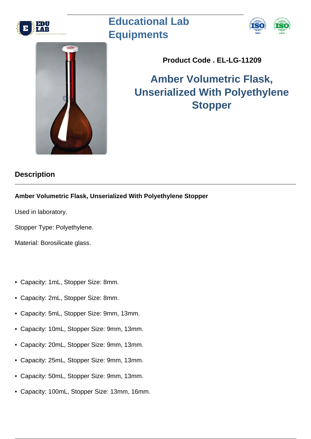

## **Educational Lab Equipments**





**Product Code . EL-LG-11209**

## **Amber Volumetric Flask, Unserialized With Polyethylene Stopper**

## **Description**

## **Amber Volumetric Flask, Unserialized With Polyethylene Stopper**

Used in laboratory.

Stopper Type: Polyethylene.

Material: Borosilicate glass.

- Capacity: 1mL, Stopper Size: 8mm.
- Capacity: 2mL, Stopper Size: 8mm.
- Capacity: 5mL, Stopper Size: 9mm, 13mm.
- Capacity: 10mL, Stopper Size: 9mm, 13mm.
- Capacity: 20mL, Stopper Size: 9mm, 13mm.
- Capacity: 25mL, Stopper Size: 9mm, 13mm.
- Capacity: 50mL, Stopper Size: 9mm, 13mm.
- Capacity: 100mL, Stopper Size: 13mm, 16mm.